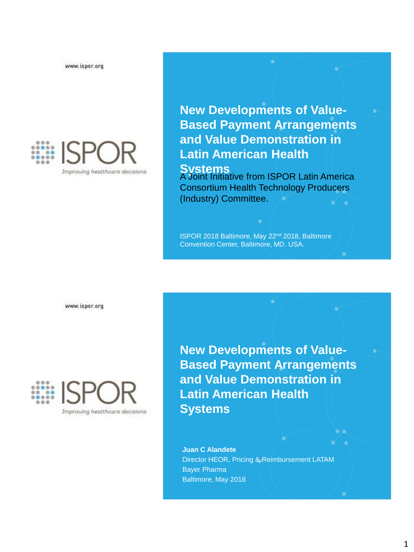www.ispor.org



**New Developments of Value-Based Payment Arrangements and Value Demonstration in Latin American Health** 

**Systems**<br>A Joint Initiative from ISPOR Latin America Consortium Health Technology Producers (Industry) Committee.

ISPOR 2018 Baltimore, May 22nd 2018, Baltimore Convention Center, Baltimore, MD. USA.

www.ispor.org



**New Developments of Value-Based Payment Arrangements and Value Demonstration in Latin American Health Systems**

**Juan C Alandete** Director HEOR, Pricing & Reimbursement LATAM Bayer Pharma Baltimore, May 2018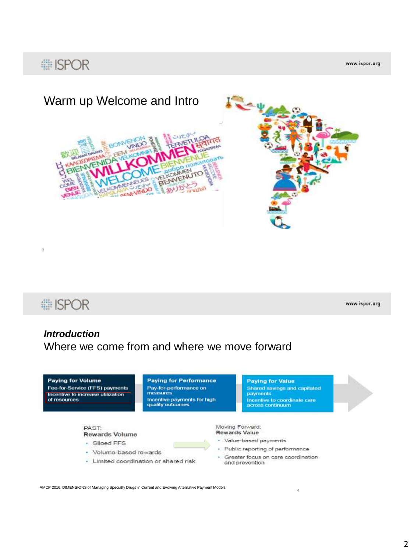## : ISPOR

www.ispor.org



**i ISPOR** 

www.ispor.org

4

### *Introduction* Where we come from and where we move forward



AMCP 2016, DIMENSIONS of Managing Specialty Drugs in Current and Evolving Alternative Payment Models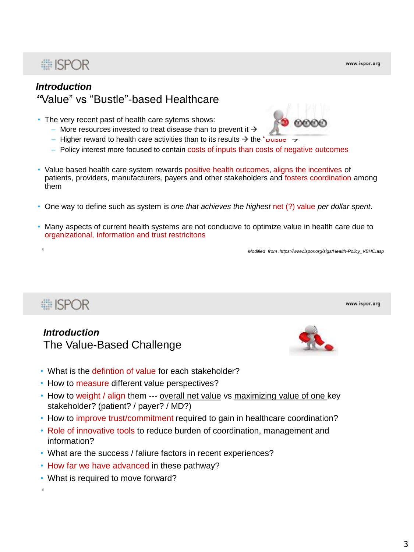#### *Introduction "*Value" vs "Bustle"-based Healthcare

- The very recent past of health care sytems shows:
	- More resources invested to treat disease than to prevent it  $\rightarrow$
	- Higher reward to health care activities than to its results  $\rightarrow$  the " $\frac{1}{2}$
	- Policy interest more focused to contain costs of inputs than costs of negative outcomes
- Value based health care system rewards positive health outcomes, aligns the incentives of patients, providers, manufacturers, payers and other stakeholders and fosters coordination among them
- One way to define such as system is *one that achieves the highest* net (?) value *per dollar spent*.
- Many aspects of current health systems are not conducive to optimize value in health care due to organizational, information and trust restricitons

<sup>5</sup> *Modified from :https://www.ispor.org/sigs/Health-Policy\_VBHC.asp*

## **■ISPOR**

#### *Introduction* The Value-Based Challenge

- What is the defintion of value for each stakeholder?
- How to measure different value perspectives?
- How to weight / align them --- overall net value vs maximizing value of one key stakeholder? (patient? / payer? / MD?)
- How to improve trust/commitment required to gain in healthcare coordination?
- Role of innovative tools to reduce burden of coordination, management and information?
- What are the success / faliure factors in recent experiences?
- How far we have advanced in these pathway?
- What is required to move forward?
- 6





www.ispor.org